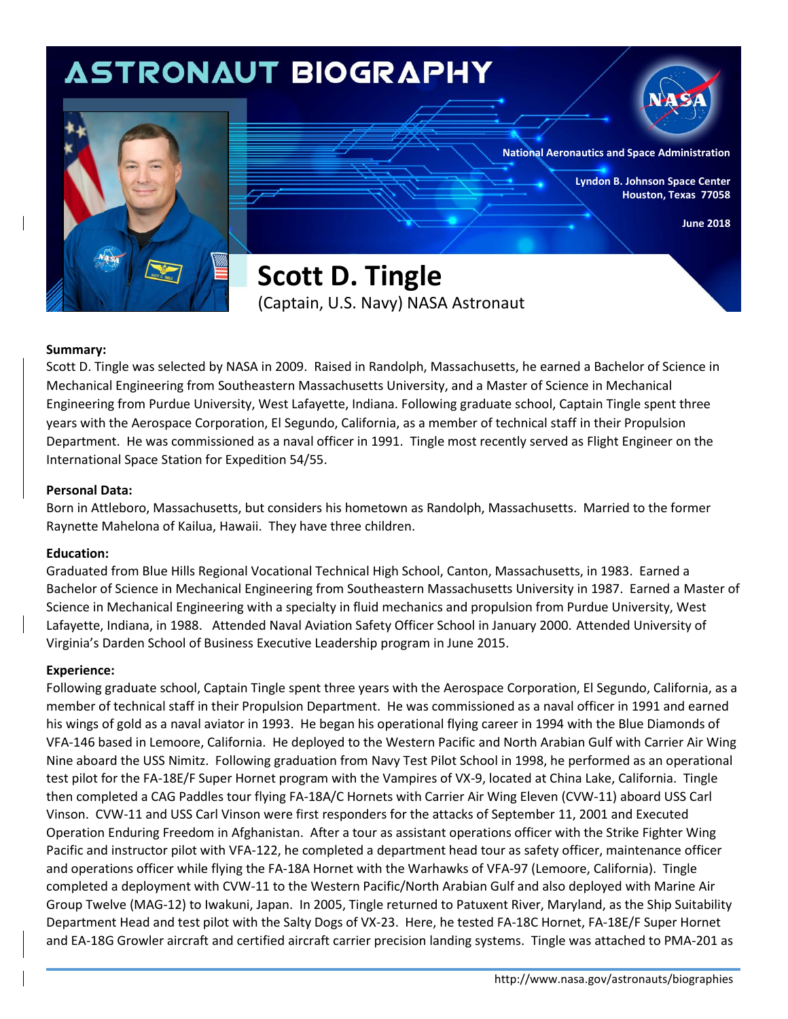## **ASTRONAUT BIOGRAPHY**





**National Aeronautics and Space Administration**

**Lyndon B. Johnson Space Center Houston, Texas 77058**

**June 2018**

**Scott D. Tingle** (Captain, U.S. Navy) NASA Astronaut

### **Summary:**

Scott D. Tingle was selected by NASA in 2009. Raised in Randolph, Massachusetts, he earned a Bachelor of Science in Mechanical Engineering from Southeastern Massachusetts University, and a Master of Science in Mechanical Engineering from Purdue University, West Lafayette, Indiana. Following graduate school, Captain Tingle spent three years with the Aerospace Corporation, El Segundo, California, as a member of technical staff in their Propulsion Department. He was commissioned as a naval officer in 1991. Tingle most recently served as Flight Engineer on the International Space Station for Expedition 54/55.

### **Personal Data:**

Born in Attleboro, Massachusetts, but considers his hometown as Randolph, Massachusetts. Married to the former Raynette Mahelona of Kailua, Hawaii. They have three children.

### **Education:**

Graduated from Blue Hills Regional Vocational Technical High School, Canton, Massachusetts, in 1983. Earned a Bachelor of Science in Mechanical Engineering from Southeastern Massachusetts University in 1987. Earned a Master of Science in Mechanical Engineering with a specialty in fluid mechanics and propulsion from Purdue University, West Lafayette, Indiana, in 1988. Attended Naval Aviation Safety Officer School in January 2000. Attended University of Virginia's Darden School of Business Executive Leadership program in June 2015.

### **Experience:**

Following graduate school, Captain Tingle spent three years with the Aerospace Corporation, El Segundo, California, as a member of technical staff in their Propulsion Department. He was commissioned as a naval officer in 1991 and earned his wings of gold as a naval aviator in 1993. He began his operational flying career in 1994 with the Blue Diamonds of VFA-146 based in Lemoore, California. He deployed to the Western Pacific and North Arabian Gulf with Carrier Air Wing Nine aboard the USS Nimitz. Following graduation from Navy Test Pilot School in 1998, he performed as an operational test pilot for the FA-18E/F Super Hornet program with the Vampires of VX-9, located at China Lake, California. Tingle then completed a CAG Paddles tour flying FA-18A/C Hornets with Carrier Air Wing Eleven (CVW-11) aboard USS Carl Vinson. CVW-11 and USS Carl Vinson were first responders for the attacks of September 11, 2001 and Executed Operation Enduring Freedom in Afghanistan. After a tour as assistant operations officer with the Strike Fighter Wing Pacific and instructor pilot with VFA-122, he completed a department head tour as safety officer, maintenance officer and operations officer while flying the FA-18A Hornet with the Warhawks of VFA-97 (Lemoore, California). Tingle completed a deployment with CVW-11 to the Western Pacific/North Arabian Gulf and also deployed with Marine Air Group Twelve (MAG-12) to Iwakuni, Japan. In 2005, Tingle returned to Patuxent River, Maryland, as the Ship Suitability Department Head and test pilot with the Salty Dogs of VX-23. Here, he tested FA-18C Hornet, FA-18E/F Super Hornet and EA-18G Growler aircraft and certified aircraft carrier precision landing systems. Tingle was attached to PMA-201 as